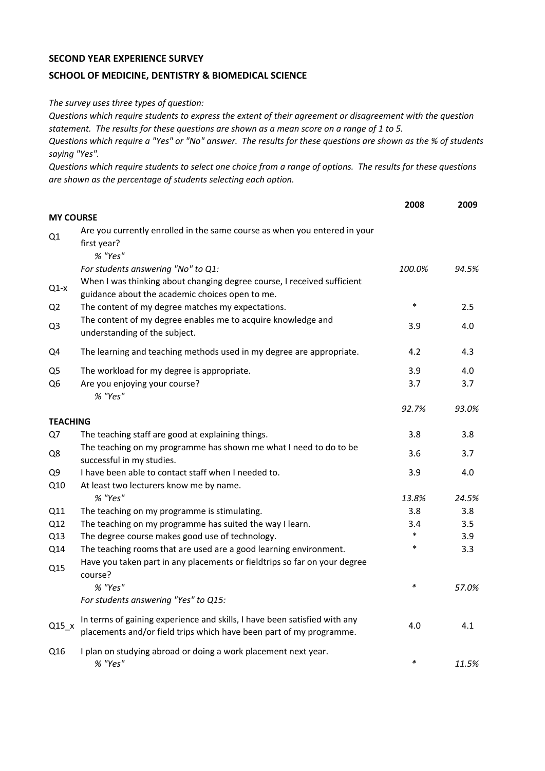## **SECOND YEAR EXPERIENCE SURVEY**

## **SCHOOL OF MEDICINE, DENTISTRY & BIOMEDICAL SCIENCE**

*The survey uses three types of question:*

*Questions which require students to express the extent of their agreement or disagreement with the question statement. The results for these questions are shown as a mean score on a range of 1 to 5.*

*Questions which require a "Yes" or "No" answer. The results for these questions are shown as the % of students saying "Yes".*

*Questions which require students to select one choice from a range of options. The results for these questions are shown as the percentage of students selecting each option.*

|                  |                                                                                                                                                  | 2008   | 2009  |
|------------------|--------------------------------------------------------------------------------------------------------------------------------------------------|--------|-------|
| <b>MY COURSE</b> |                                                                                                                                                  |        |       |
| Q1               | Are you currently enrolled in the same course as when you entered in your<br>first year?<br>% "Yes"                                              |        |       |
|                  | For students answering "No" to Q1:                                                                                                               | 100.0% | 94.5% |
| $Q1-x$           | When I was thinking about changing degree course, I received sufficient<br>guidance about the academic choices open to me.                       |        |       |
| Q <sub>2</sub>   | The content of my degree matches my expectations.                                                                                                | $\ast$ | 2.5   |
| Q <sub>3</sub>   | The content of my degree enables me to acquire knowledge and<br>understanding of the subject.                                                    | 3.9    | 4.0   |
| Q4               | The learning and teaching methods used in my degree are appropriate.                                                                             | 4.2    | 4.3   |
| Q <sub>5</sub>   | The workload for my degree is appropriate.                                                                                                       | 3.9    | 4.0   |
| Q6               | Are you enjoying your course?<br>% "Yes"                                                                                                         | 3.7    | 3.7   |
|                  |                                                                                                                                                  | 92.7%  | 93.0% |
| <b>TEACHING</b>  |                                                                                                                                                  |        |       |
| Q7               | The teaching staff are good at explaining things.                                                                                                | 3.8    | 3.8   |
| Q8               | The teaching on my programme has shown me what I need to do to be<br>successful in my studies.                                                   | 3.6    | 3.7   |
| Q <sub>9</sub>   | I have been able to contact staff when I needed to.                                                                                              | 3.9    | 4.0   |
| Q10              | At least two lecturers know me by name.                                                                                                          |        |       |
|                  | % "Yes"                                                                                                                                          | 13.8%  | 24.5% |
| Q11              | The teaching on my programme is stimulating.                                                                                                     | 3.8    | 3.8   |
| Q12              | The teaching on my programme has suited the way I learn.                                                                                         | 3.4    | 3.5   |
| Q13              | The degree course makes good use of technology.                                                                                                  | $\ast$ | 3.9   |
| Q14              | The teaching rooms that are used are a good learning environment.                                                                                | $\ast$ | 3.3   |
| Q15              | Have you taken part in any placements or fieldtrips so far on your degree<br>course?                                                             |        |       |
|                  | % "Yes"                                                                                                                                          | $\ast$ | 57.0% |
|                  | For students answering "Yes" to Q15:                                                                                                             |        |       |
| $Q15_x$          | In terms of gaining experience and skills, I have been satisfied with any<br>placements and/or field trips which have been part of my programme. | 4.0    | 4.1   |
| Q16              | I plan on studying abroad or doing a work placement next year.<br>% "Yes"                                                                        | $\ast$ | 11.5% |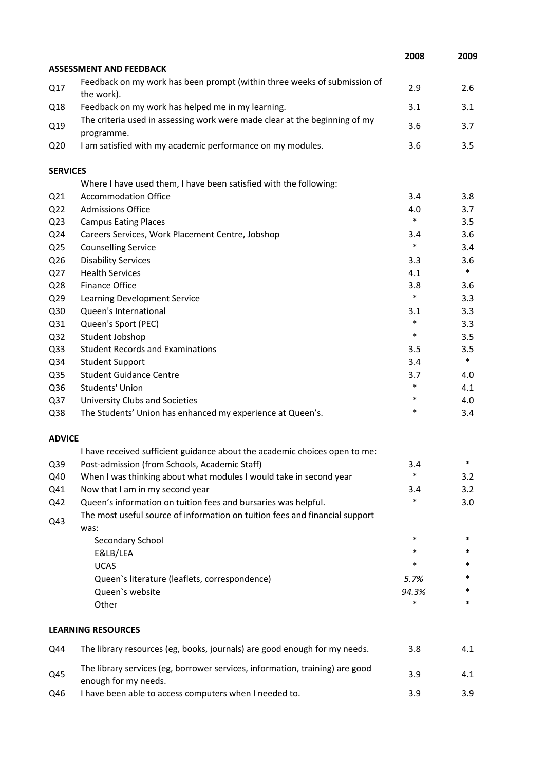|                 |                                                                                                      | 2008   | 2009   |
|-----------------|------------------------------------------------------------------------------------------------------|--------|--------|
|                 | <b>ASSESSMENT AND FEEDBACK</b>                                                                       |        |        |
| Q17             | Feedback on my work has been prompt (within three weeks of submission of<br>the work).               | 2.9    | 2.6    |
| Q18             | Feedback on my work has helped me in my learning.                                                    | 3.1    | 3.1    |
| Q19             | The criteria used in assessing work were made clear at the beginning of my<br>programme.             | 3.6    | 3.7    |
| Q <sub>20</sub> | I am satisfied with my academic performance on my modules.                                           | 3.6    | 3.5    |
| <b>SERVICES</b> |                                                                                                      |        |        |
|                 | Where I have used them, I have been satisfied with the following:                                    |        |        |
| Q <sub>21</sub> | <b>Accommodation Office</b>                                                                          | 3.4    | 3.8    |
| Q <sub>22</sub> | <b>Admissions Office</b>                                                                             | 4.0    | 3.7    |
| Q <sub>23</sub> | <b>Campus Eating Places</b>                                                                          | $\ast$ | 3.5    |
| Q24             | Careers Services, Work Placement Centre, Jobshop                                                     | 3.4    | 3.6    |
| Q <sub>25</sub> | <b>Counselling Service</b>                                                                           | $\ast$ | 3.4    |
| Q26             | <b>Disability Services</b>                                                                           | 3.3    | 3.6    |
| Q27             | <b>Health Services</b>                                                                               | 4.1    | $\ast$ |
| Q28             | Finance Office                                                                                       | 3.8    | 3.6    |
| Q <sub>29</sub> | Learning Development Service                                                                         | $\ast$ | 3.3    |
| Q30             | Queen's International                                                                                | 3.1    | 3.3    |
| Q31             | Queen's Sport (PEC)                                                                                  | $\ast$ | 3.3    |
| Q <sub>32</sub> | Student Jobshop                                                                                      | $\ast$ | 3.5    |
| Q <sub>33</sub> | <b>Student Records and Examinations</b>                                                              | 3.5    | 3.5    |
| Q34             | <b>Student Support</b>                                                                               | 3.4    | $\ast$ |
| Q <sub>35</sub> | <b>Student Guidance Centre</b>                                                                       | 3.7    | 4.0    |
| Q36             | Students' Union                                                                                      | $\ast$ | 4.1    |
| Q <sub>37</sub> | University Clubs and Societies                                                                       | $\ast$ | 4.0    |
| Q38             | The Students' Union has enhanced my experience at Queen's.                                           | $\ast$ | 3.4    |
| <b>ADVICE</b>   |                                                                                                      |        |        |
|                 | I have received sufficient guidance about the academic choices open to me:                           |        |        |
| Q39             | Post-admission (from Schools, Academic Staff)                                                        | 3.4    | *      |
| Q40             | When I was thinking about what modules I would take in second year                                   | $\ast$ | 3.2    |
| Q41             | Now that I am in my second year                                                                      | 3.4    | 3.2    |
| Q42             | Queen's information on tuition fees and bursaries was helpful.                                       | *      | 3.0    |
| Q43             | The most useful source of information on tuition fees and financial support<br>was:                  |        |        |
|                 | Secondary School                                                                                     | $\ast$ | $\ast$ |
|                 | E&LB/LEA                                                                                             | *      | *      |
|                 | <b>UCAS</b>                                                                                          | *      | *      |
|                 | Queen's literature (leaflets, correspondence)                                                        | 5.7%   | *      |
|                 | Queen's website                                                                                      | 94.3%  | *      |
|                 | Other                                                                                                | *      | $\ast$ |
|                 | <b>LEARNING RESOURCES</b>                                                                            |        |        |
| Q44             | The library resources (eg, books, journals) are good enough for my needs.                            | 3.8    | 4.1    |
| Q45             | The library services (eg, borrower services, information, training) are good<br>enough for my needs. | 3.9    | 4.1    |
| Q46             | I have been able to access computers when I needed to.                                               | 3.9    | 3.9    |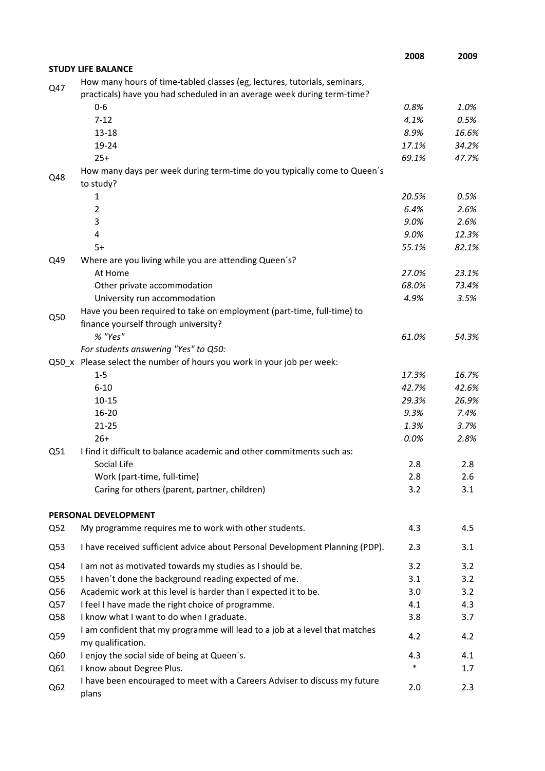|     |                                                                                                  | 2008   | 2009  |
|-----|--------------------------------------------------------------------------------------------------|--------|-------|
|     | <b>STUDY LIFE BALANCE</b>                                                                        |        |       |
| Q47 | How many hours of time-tabled classes (eg, lectures, tutorials, seminars,                        |        |       |
|     | practicals) have you had scheduled in an average week during term-time?                          |        |       |
|     | $0-6$                                                                                            | 0.8%   | 1.0%  |
|     | $7 - 12$                                                                                         | 4.1%   | 0.5%  |
|     | $13 - 18$                                                                                        | 8.9%   | 16.6% |
|     | 19-24                                                                                            | 17.1%  | 34.2% |
|     | $25+$                                                                                            | 69.1%  | 47.7% |
| Q48 | How many days per week during term-time do you typically come to Queen's<br>to study?            |        |       |
|     | 1                                                                                                | 20.5%  | 0.5%  |
|     | 2                                                                                                | 6.4%   | 2.6%  |
|     | 3                                                                                                | 9.0%   | 2.6%  |
|     | 4                                                                                                | 9.0%   | 12.3% |
|     | $5+$                                                                                             | 55.1%  | 82.1% |
| Q49 | Where are you living while you are attending Queen's?                                            |        |       |
|     | At Home                                                                                          | 27.0%  | 23.1% |
|     | Other private accommodation                                                                      | 68.0%  | 73.4% |
|     | University run accommodation                                                                     | 4.9%   | 3.5%  |
| Q50 | Have you been required to take on employment (part-time, full-time) to                           |        |       |
|     | finance yourself through university?                                                             |        |       |
|     | % "Yes"                                                                                          | 61.0%  | 54.3% |
|     | For students answering "Yes" to Q50:                                                             |        |       |
|     | Q50_x Please select the number of hours you work in your job per week:                           |        |       |
|     | $1 - 5$                                                                                          | 17.3%  | 16.7% |
|     | $6 - 10$                                                                                         | 42.7%  | 42.6% |
|     | $10 - 15$                                                                                        | 29.3%  | 26.9% |
|     | $16 - 20$                                                                                        | 9.3%   | 7.4%  |
|     | $21 - 25$                                                                                        | 1.3%   | 3.7%  |
|     | $26+$                                                                                            | 0.0%   | 2.8%  |
| Q51 | I find it difficult to balance academic and other commitments such as:                           |        |       |
|     | Social Life                                                                                      | 2.8    | 2.8   |
|     | Work (part-time, full-time)                                                                      | 2.8    | 2.6   |
|     | Caring for others (parent, partner, children)                                                    | 3.2    | 3.1   |
|     | PERSONAL DEVELOPMENT                                                                             |        |       |
| Q52 | My programme requires me to work with other students.                                            | 4.3    | 4.5   |
| Q53 | I have received sufficient advice about Personal Development Planning (PDP).                     | 2.3    | 3.1   |
| Q54 | I am not as motivated towards my studies as I should be.                                         | 3.2    | 3.2   |
| Q55 | I haven't done the background reading expected of me.                                            | 3.1    | 3.2   |
| Q56 | Academic work at this level is harder than I expected it to be.                                  | 3.0    | 3.2   |
| Q57 | I feel I have made the right choice of programme.                                                | 4.1    | 4.3   |
| Q58 | I know what I want to do when I graduate.                                                        | 3.8    | 3.7   |
| Q59 | I am confident that my programme will lead to a job at a level that matches<br>my qualification. | 4.2    | 4.2   |
| Q60 | I enjoy the social side of being at Queen's.                                                     | 4.3    | 4.1   |
| Q61 | I know about Degree Plus.                                                                        | $\ast$ | 1.7   |
|     | I have been encouraged to meet with a Careers Adviser to discuss my future                       |        |       |
| Q62 | plans                                                                                            | 2.0    | 2.3   |